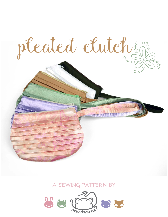

## **a sewing pattern by**

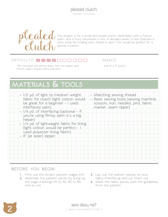pleated clutch sewing tutorial



This project is for a small and simple clutch, assembled with a French seam, and a front decorated in lots of detailed pleats. It also features a wrist strap for holding onto. Made in satin, this would be perfect for a special occasion.

#### $D$ IFFICULTY:  $\Box \Box \Box$

The concepts are pretty basic, but the pleats and  $one 8'' \times 5''$  pouch French seam require some precision.

makes:

# **materials & tools**

| . 1/2 yd. of light to medium weight<br>fabric for clutch (light cotton would<br>be great for a beginner - I used<br>interfaced satin)<br>• 1/4 yd. of interfacing (optional - if<br>you're using flimsy satin it's a big<br>helper)<br>· 1/4 yd. of lightweight fabric for lining<br>(light cotton would be perfect -<br>used polyester lining fabric)<br>· 8" (at least) zipper | • Matching sewing thread<br>· Basic sewing tools (sewing machine,<br>scissors, iron, needles, pins, fabric<br>marker, seam ripper) |
|----------------------------------------------------------------------------------------------------------------------------------------------------------------------------------------------------------------------------------------------------------------------------------------------------------------------------------------------------------------------------------|------------------------------------------------------------------------------------------------------------------------------------|
|                                                                                                                                                                                                                                                                                                                                                                                  |                                                                                                                                    |

#### **before you begin:**

- **1.** Print out the project pattern, pages 8-10
- **2.** Assemble the pattern pieces by lining up the page markings (A1 to A2, B3 to B4, and so on)
- **3.** Lay out the pattern pieces on your fabric/interfacing and cut them out
- **4.** Mark the fabric pieces with the guidelines from the pattern

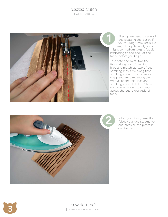sewing tutorial



First up we need to sew all the pleats in the clutch. If you're using flimsy satin like me, it'll help to apply some light to medium weight fusible interfacing to the back of the fabric before you begin.

To create one pleat, fold the fabric along one of the fold lines and match up two of the stitching lines. Sew along that stitching line and that creates one pleat. Keep repeating this with all of the fold lines and stitching lines a total of 8 times until you've worked your way across the entire rectangle of fabric.



When you finish, take the fabric to a nice steamy iron and press all the pleats in one direction.



Sew desu ne? | www .cholyknight .com |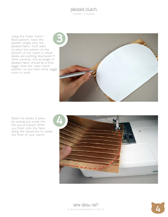sewing tutorial

Using the Outer Clutch – Back pattern, trace the pattern shape onto the pleated fabric. You'll want to place the pattern so the bottom of the clutch is where pleats are pointing downward. If done correctly, the rectangle of pleated fabric should be a little bigger than the outer clutch pattern, so you have some wiggle room to work.



Baste the pleats in place by sewing just inside the line you've traced. When you finish, trim the fabric along the traced line to create the front of your clutch!





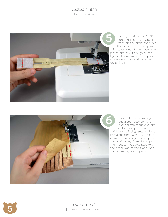sewing tutorial



Trim your zipper to 6 1/2" long, then sew the zipper tabs on the ends: sandwich the cut ends of the zipper between two of the zipper tab pieces and sew through all the layers. This will make the zipper much easier to install into the clutch later.



To install the zipper, layer the zipper between the outer clutch fabric and one of the lining pieces with right sides facing. Sew all three layers together with a 1/4" seam allowance. When you finish, press the fabric away from the zipper, then repeat the same step with the other side of the zipper and the remaining pouch pieces.



**5** sew desu ne? | www.cholyknight.com |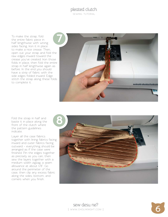#### pleated clutch sewing tutorial

To make the strap, fold the entire fabric piece in half lengthwise with wrong sides facing. Iron it in place to make a nice crease. Then, open out your strap and fold the raw edges inward toward the crease you've created. Iron those folds in place, then fold the entire strap in half lengthwise again as before. In the end you should have a strip of fabric with the side edges folded inward. Edge stitch the strap along these folds to complete it.



Fold the strap in half and baste it in place along the front of the clutch where the pattern guidelines indicate.

Layer all the case fabrics together with lining fabrics facing inward and outer fabrics facing outward – everything should be arranged as if the case were finished. Pin the edges together as precisely as you can, then sew the layers together with a medium width zigzag; a seam allowance at about 1/8". Go around the perimeter of the case, then clip any excess fabric along the sides, bottom, and corners when you finish.



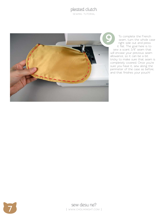sewing tutorial



To complete the French seam, turn the whole case right side out and press it flat. The goal here is to sew a scant 3/8" seam that will encase your previous seam allowance, so it can be a bit tricky to make sure that seam is completely covered. Once you're sure you have it, sew along the perimeter of the case as before, and that finishes your pouch!

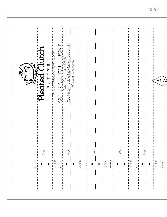| ჯი <u>იდი ო</u> ჯ | interfacing (optional)<br>OUTER CLUTCH - FRONT<br><u>는</u><br>-WWW.CHOLYKNICHT.COM-<br>$\Xi$<br>Ζ<br>seam allowance<br>$\approx$<br>Cut 1 from fusible<br>Pleated<br>FAT<br>$\tilde{\mathbb{X}}$<br>fold<br>fold<br>$f$ old<br>fold                                                                                                                                                                                                                                                                                                                                                                                                                                                                                                                    | Pg. 1/3<br>$\mathsf{A}$ 1 $\mathsf{A}$<br>fold |
|-------------------|--------------------------------------------------------------------------------------------------------------------------------------------------------------------------------------------------------------------------------------------------------------------------------------------------------------------------------------------------------------------------------------------------------------------------------------------------------------------------------------------------------------------------------------------------------------------------------------------------------------------------------------------------------------------------------------------------------------------------------------------------------|------------------------------------------------|
| stitch<br>- - - - | $\frac{1}{2}$ stitch<br>stitch<br>stitch<br>$\begin{array}{c}\n \text{strict} \\ -\text{unit} \\ -\text{unit} \\ -\text{unit} \\ -\text{unit} \\ -\text{unit} \\ -\text{unit} \\ -\text{unit} \\ -\text{unit} \\ -\text{unit} \\ -\text{unit} \\ -\text{unit} \\ -\text{unit} \\ -\text{unit} \\ -\text{unit} \\ -\text{unit} \\ -\text{unit} \\ -\text{unit} \\ -\text{unit} \\ -\text{unit} \\ -\text{unit} \\ -\text{unit} \\ -\text{unit} \\ -\text{unit} \\ -\text{unit} \\ -\text{unit} \\ -\text{unit} \\ -\text{unit} \\ -\text{unit} \\ -\text{unit} \\ -\text$<br>stitch<br>stitch<br>$\frac{1}{2}$ stitch<br>stitch<br>Litch<br>$\frac{1}{2}$<br>$\leftrightarrow$<br>$\leftrightarrow$<br>$\leftrightarrow$<br>$\overline{\longleftarrow}$ | stitch<br>stitch                               |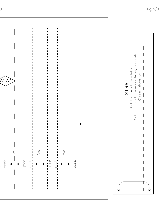